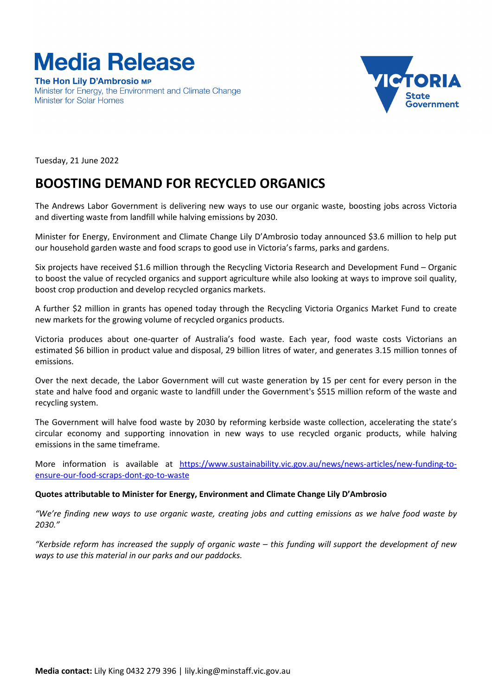

The Hon Lily D'Ambrosio MP Minister for Energy, the Environment and Climate Change **Minister for Solar Homes** 



Tuesday, 21 June 2022

# **BOOSTING DEMAND FOR RECYCLED ORGANICS**

The Andrews Labor Government is delivering new ways to use our organic waste, boosting jobs across Victoria and diverting waste from landfill while halving emissions by 2030.

Minister for Energy, Environment and Climate Change Lily D'Ambrosio today announced \$3.6 million to help put our household garden waste and food scraps to good use in Victoria's farms, parks and gardens.

Six projects have received \$1.6 million through the Recycling Victoria Research and Development Fund – Organic to boost the value of recycled organics and support agriculture while also looking at ways to improve soil quality, boost crop production and develop recycled organics markets.

A further \$2 million in grants has opened today through the Recycling Victoria Organics Market Fund to create new markets for the growing volume of recycled organics products.

Victoria produces about one-quarter of Australia's food waste. Each year, food waste costs Victorians an estimated \$6 billion in product value and disposal, 29 billion litres of water, and generates 3.15 million tonnes of emissions.

Over the next decade, the Labor Government will cut waste generation by 15 per cent for every person in the state and halve food and organic waste to landfill under the Government's \$515 million reform of the waste and recycling system.

The Government will halve food waste by 2030 by reforming kerbside waste collection, accelerating the state's circular economy and supporting innovation in new ways to use recycled organic products, while halving emissions in the same timeframe.

More information is available at [https://www.sustainability.vic.gov.au/news/news-articles/new-funding-to](https://www.sustainability.vic.gov.au/news/news-articles/new-funding-to-ensure-our-food-scraps-dont-go-to-waste)[ensure-our-food-scraps-dont-go-to-waste](https://www.sustainability.vic.gov.au/news/news-articles/new-funding-to-ensure-our-food-scraps-dont-go-to-waste)

# **Quotes attributable to Minister for Energy, Environment and Climate Change Lily D'Ambrosio**

*"We're finding new ways to use organic waste, creating jobs and cutting emissions as we halve food waste by 2030."*

*"Kerbside reform has increased the supply of organic waste – this funding will support the development of new ways to use this material in our parks and our paddocks.*